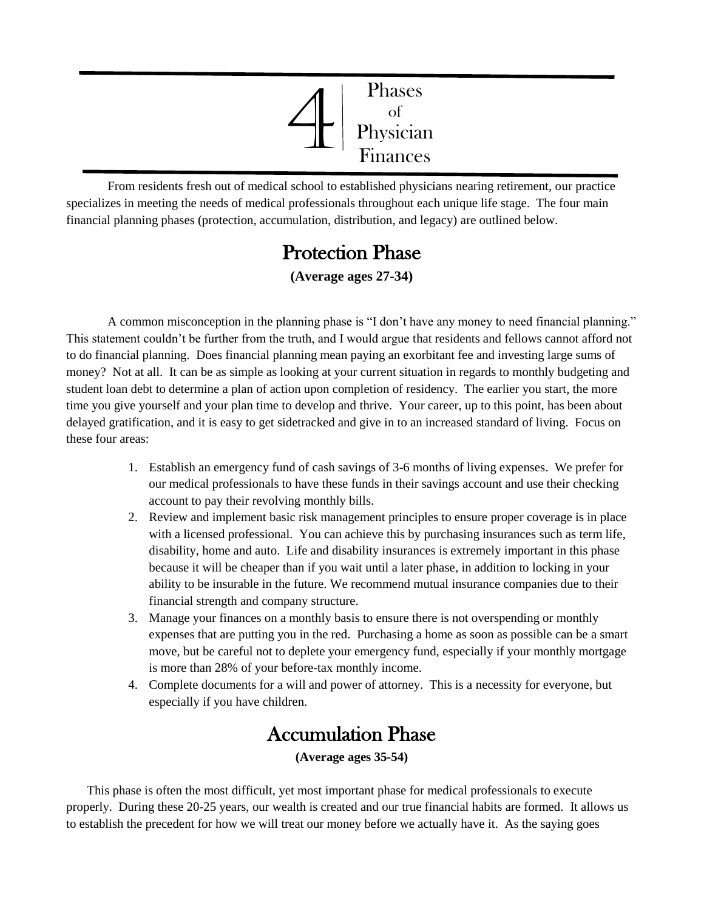

From residents fresh out of medical school to established physicians nearing retirement, our practice specializes in meeting the needs of medical professionals throughout each unique life stage. The four main financial planning phases (protection, accumulation, distribution, and legacy) are outlined below.

# **Protection Phase**

**(Average ages 27-34)**

A common misconception in the planning phase is "I don't have any money to need financial planning." This statement couldn't be further from the truth, and I would argue that residents and fellows cannot afford not to do financial planning. Does financial planning mean paying an exorbitant fee and investing large sums of money? Not at all. It can be as simple as looking at your current situation in regards to monthly budgeting and student loan debt to determine a plan of action upon completion of residency. The earlier you start, the more time you give yourself and your plan time to develop and thrive. Your career, up to this point, has been about delayed gratification, and it is easy to get sidetracked and give in to an increased standard of living. Focus on these four areas:

- 1. Establish an emergency fund of cash savings of 3-6 months of living expenses. We prefer for our medical professionals to have these funds in their savings account and use their checking account to pay their revolving monthly bills.
- 2. Review and implement basic risk management principles to ensure proper coverage is in place with a licensed professional. You can achieve this by purchasing insurances such as term life, disability, home and auto. Life and disability insurances is extremely important in this phase because it will be cheaper than if you wait until a later phase, in addition to locking in your ability to be insurable in the future. We recommend mutual insurance companies due to their financial strength and company structure.
- 3. Manage your finances on a monthly basis to ensure there is not overspending or monthly expenses that are putting you in the red. Purchasing a home as soon as possible can be a smart move, but be careful not to deplete your emergency fund, especially if your monthly mortgage is more than 28% of your before-tax monthly income.
- 4. Complete documents for a will and power of attorney. This is a necessity for everyone, but especially if you have children.

# Accumulation Phase

**(Average ages 35-54)**

This phase is often the most difficult, yet most important phase for medical professionals to execute properly. During these 20-25 years, our wealth is created and our true financial habits are formed. It allows us to establish the precedent for how we will treat our money before we actually have it. As the saying goes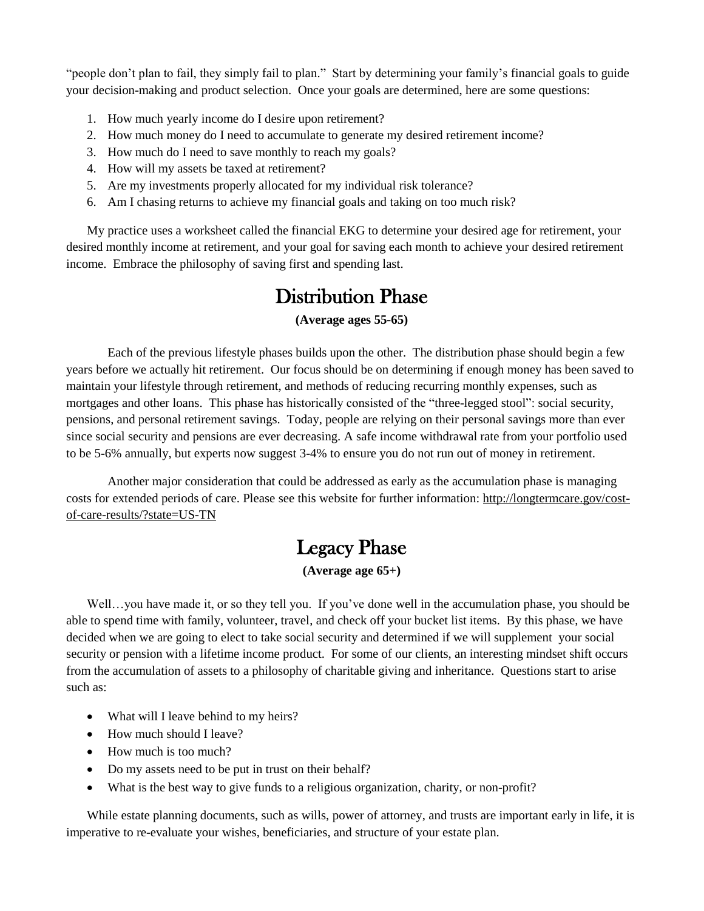"people don't plan to fail, they simply fail to plan." Start by determining your family's financial goals to guide your decision-making and product selection. Once your goals are determined, here are some questions:

- 1. How much yearly income do I desire upon retirement?
- 2. How much money do I need to accumulate to generate my desired retirement income?
- 3. How much do I need to save monthly to reach my goals?
- 4. How will my assets be taxed at retirement?
- 5. Are my investments properly allocated for my individual risk tolerance?
- 6. Am I chasing returns to achieve my financial goals and taking on too much risk?

My practice uses a worksheet called the financial EKG to determine your desired age for retirement, your desired monthly income at retirement, and your goal for saving each month to achieve your desired retirement income. Embrace the philosophy of saving first and spending last.

### Distribution Phase

#### **(Average ages 55-65)**

Each of the previous lifestyle phases builds upon the other. The distribution phase should begin a few years before we actually hit retirement. Our focus should be on determining if enough money has been saved to maintain your lifestyle through retirement, and methods of reducing recurring monthly expenses, such as mortgages and other loans. This phase has historically consisted of the "three-legged stool": social security, pensions, and personal retirement savings. Today, people are relying on their personal savings more than ever since social security and pensions are ever decreasing. A safe income withdrawal rate from your portfolio used to be 5-6% annually, but experts now suggest 3-4% to ensure you do not run out of money in retirement.

Another major consideration that could be addressed as early as the accumulation phase is managing costs for extended periods of care. Please see this website for further information: [http://longtermcare.gov/cost](http://longtermcare.gov/cost-of-care-results/?state=US-TN)[of-care-results/?state=US-TN](http://longtermcare.gov/cost-of-care-results/?state=US-TN)

## Legacy Phase

#### **(Average age 65+)**

Well...you have made it, or so they tell you. If you've done well in the accumulation phase, you should be able to spend time with family, volunteer, travel, and check off your bucket list items. By this phase, we have decided when we are going to elect to take social security and determined if we will supplement your social security or pension with a lifetime income product. For some of our clients, an interesting mindset shift occurs from the accumulation of assets to a philosophy of charitable giving and inheritance. Questions start to arise such as:

- What will I leave behind to my heirs?
- How much should I leave?
- How much is too much?
- Do my assets need to be put in trust on their behalf?
- What is the best way to give funds to a religious organization, charity, or non-profit?

While estate planning documents, such as wills, power of attorney, and trusts are important early in life, it is imperative to re-evaluate your wishes, beneficiaries, and structure of your estate plan.